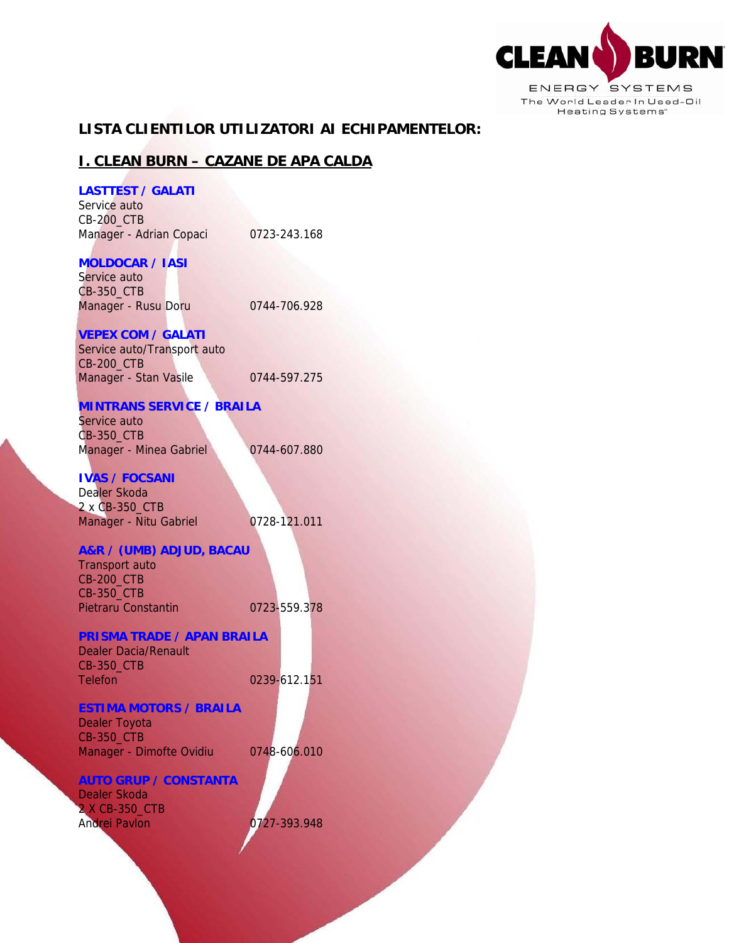

# **LISTA CLIENTILOR UTILIZATORI AI ECHIPAMENTELOR:**

## **I. CLEAN BURN – CAZANE DE APA CALDA**

## **LASTTEST / GALATI**

Service auto CB-200\_CTB Manager - Adrian Copaci 0723-243.168

## **MOLDOCAR / IASI**

Service auto CB-350\_CTB Manager - Rusu Doru 0744-706.928

### **VEPEX COM / GALATI**

Service auto/Transport auto CB-200\_CTB Manager - Stan Vasile 0744-597.275

## **MINTRANS SERVICE / BRAILA**

Service auto CB-350\_CTB Manager - Minea Gabriel 0744-607.880

### **IVAS / FOCSANI**

Dealer Skoda 2 x CB-350\_CTB Manager - Nitu Gabriel 0728-121.011

## **A&R / (UMB) ADJUD, BACAU**

Transport auto CB-200\_CTB CB-350\_CTB Pietraru Constantin 0723-559.378

### **PRISMA TRADE / APAN BRAILA**

Dealer Dacia/Renault CB-350\_CTB Telefon 0239-612.151

## **ESTIMA MOTORS / BRAILA**

Dealer Toyota CB-350\_CTB Manager - Dimofte Ovidiu 0748-606.010

### **AUTO GRUP / CONSTANTA**

Dealer Skoda 2 X CB-350\_CTB Andrei Pavlon **0727-393.948**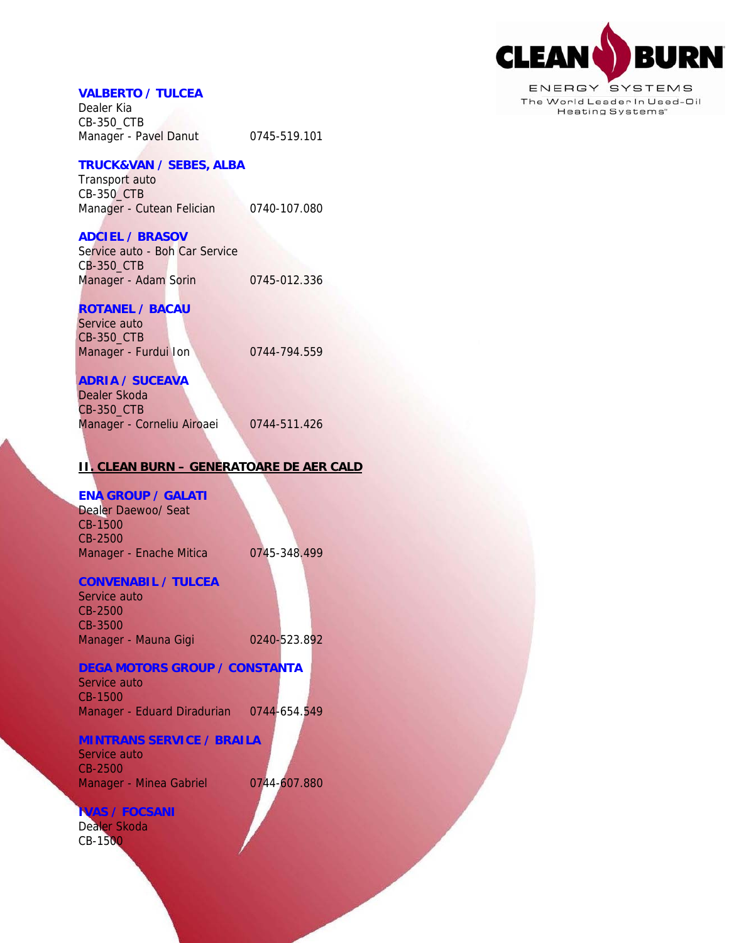

#### **VALBERTO / TULCEA**

Dealer Kia CB-350\_CTB Manager - Pavel Danut 0745-519.101

## **TRUCK&VAN / SEBES, ALBA**

Transport auto CB-350\_CTB Manager - Cutean Felician 0740-107.080

**ADCIEL / BRASOV** 

Service auto - Boh Car Service CB-350\_CTB Manager - Adam Sorin 0745-012.336

#### **ROTANEL / BACAU**

Service auto CB-350\_CTB Manager - Furdui Ion 0744-794.559

## **ADRIA / SUCEAVA**

Dealer Skoda CB-350\_CTB Manager - Corneliu Airoaei 0744-511.426

## **II. CLEAN BURN – GENERATOARE DE AER CALD**

### **ENA GROUP / GALATI**

Dealer Daewoo/ Seat CB-1500 CB-2500 Manager - Enache Mitica 0745-348.499

### **CONVENABIL / TULCEA**

Service auto CB-2500 CB-3500 Manager - Mauna Gigi 0240-523.892

### **DEGA MOTORS GROUP / CONSTANTA**

Service auto CB-1500 Manager - Eduard Diradurian 0744-654.549

## **MINTRANS SERVICE / BRAILA**

Service auto CB-2500 Manager - Minea Gabriel 0744-607.880

## **IVAS / FOCSANI**

Dealer Skoda CB-1500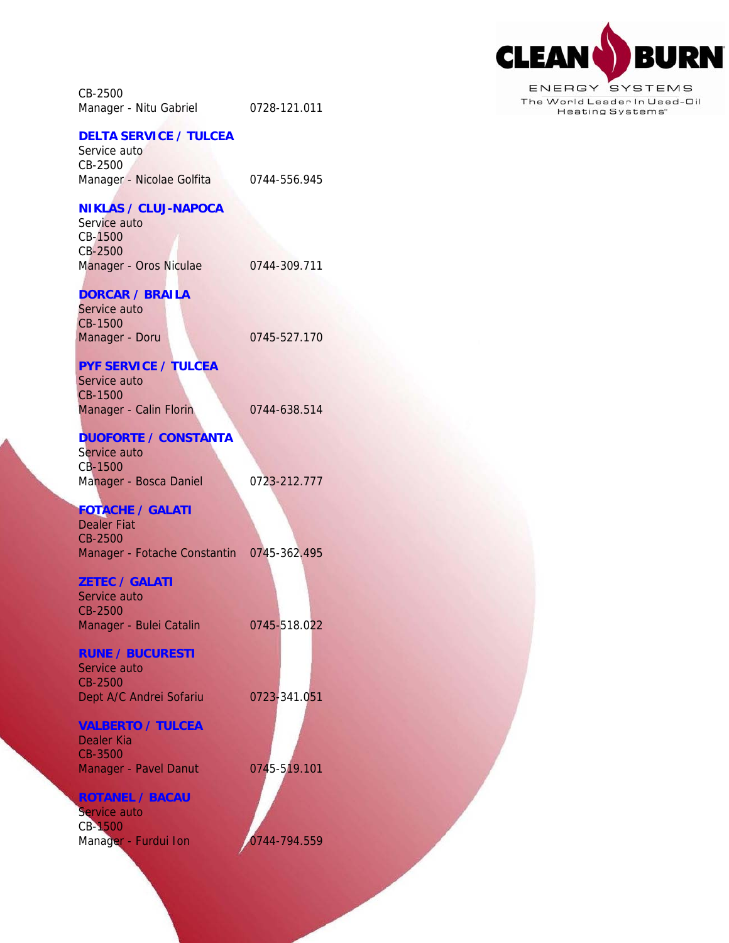| CB-2500                                                           |              |
|-------------------------------------------------------------------|--------------|
| Manager - Nitu Gabriel                                            | 0728-121.011 |
| <b>DELTA SERVICE / TULCEA</b><br>Service auto<br>CB-2500          |              |
| Manager - Nicolae Golfita                                         | 0744-556.945 |
| <b>NIKLAS / CLUJ-NAPOCA</b><br>Service auto<br>CB-1500<br>CB-2500 |              |
| Manager - Oros Niculae                                            | 0744-309.711 |
| <b>DORCAR / BRAILA</b><br>Service auto<br>CB-1500                 |              |
| Manager - Doru                                                    | 0745-527.170 |
| <b>PYF SERVICE / TULCEA</b><br>Service auto<br>CB-1500            |              |
| Manager - Calin Florin                                            | 0744-638.514 |
| <b>DUOFORTE / CONSTANTA</b>                                       |              |
| Service auto<br>CB-1500                                           |              |
| Manager - Bosca Daniel                                            | 0723-212.777 |
| <b>FOTACHE / GALATI</b>                                           |              |
| <b>Dealer Fiat</b><br>CB-2500                                     |              |
| Manager - Fotache Constantin 0745-362.495                         |              |
| <b>ZETEC / GALATI</b><br>Service auto<br>CB-2500                  |              |
| Manager - Bulei Catalin                                           | 0745-518.022 |
| <b>RUNE / BUCURESTI</b><br>Service auto<br><b>CB-2500</b>         |              |
| Dept A/C Andrei Sofariu                                           | 0723-341.051 |
| <b>VALBERTO / TULCEA</b><br>Dealer Kia<br><b>CB-3500</b>          |              |
| Manager - Pavel Danut                                             | 0745-519.101 |
| <b>ROTANEL / BACAU</b>                                            |              |
| Service auto<br>CB-1500                                           |              |
| Manager - Furdui Ion                                              | 0744-794.559 |
|                                                                   |              |